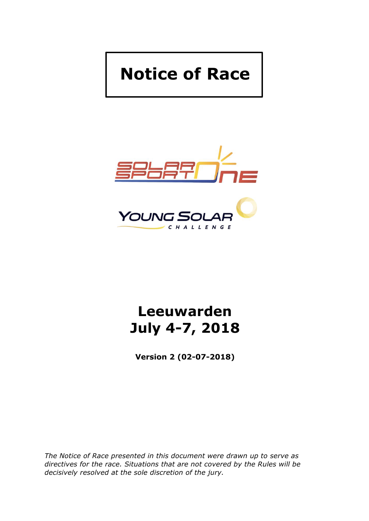# **Notice of Race**



# **Leeuwarden July 4-7, 2018**

**Version 2 (02-07-2018)**

*The Notice of Race presented in this document were drawn up to serve as directives for the race. Situations that are not covered by the Rules will be decisively resolved at the sole discretion of the jury.*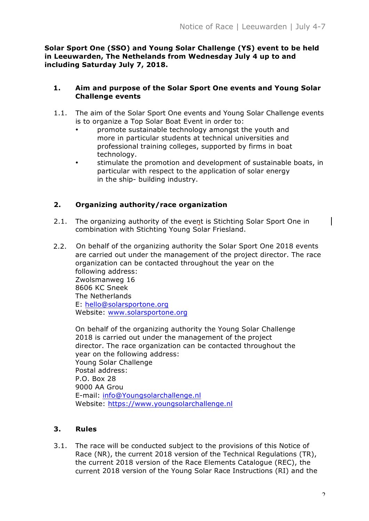**Solar Sport One (SSO) and Young Solar Challenge (YS) event to be held in Leeuwarden, The Nethelands from Wednesday July 4 up to and including Saturday July 7, 2018.**

#### **1. Aim and purpose of the Solar Sport One events and Young Solar Challenge events**

- 1.1. The aim of the Solar Sport One events and Young Solar Challenge events is to organize a Top Solar Boat Event in order to:
	- promote sustainable technology amongst the youth and more in particular students at technical universities and professional training colleges, supported by firms in boat technology.
	- stimulate the promotion and development of sustainable boats, in particular with respect to the application of solar energy in the ship- building industry.

# **2. Organizing authority/race organization**

- 2.1. The organizing authority of the event is Stichting Solar Sport One in combination with Stichting Young Solar Friesland.
- 2.2. On behalf of the organizing authority the Solar Sport One 2018 events are carried out under the management of the project director. The race organization can be contacted throughout the year on the following address: Zwolsmanweg 16 8606 KC Sneek The Netherlands E: hello@solarsportone.org Website: www.solarsportone.org

On behalf of the organizing authority the Young Solar Challenge 2018 is carried out under the management of the project director. The race organization can be contacted throughout the year on the following address: Young Solar Challenge Postal address: P.O. Box 28 9000 AA Grou E-mail: info@Youngsolarchallenge.nl Website: https://www.youngsolarchallenge.nl

# **3. Rules**

3.1. The race will be conducted subject to the provisions of this Notice of Race (NR), the current 2018 version of the Technical Regulations (TR), the current 2018 version of the Race Elements Catalogue (REC), the current 2018 version of the Young Solar Race Instructions (RI) and the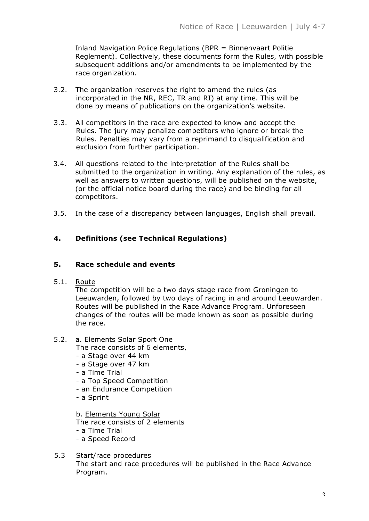Inland Navigation Police Regulations (BPR = Binnenvaart Politie Reglement). Collectively, these documents form the Rules, with possible subsequent additions and/or amendments to be implemented by the race organization.

- 3.2. The organization reserves the right to amend the rules (as incorporated in the NR, REC, TR and RI) at any time. This will be done by means of publications on the organization's website.
- 3.3. All competitors in the race are expected to know and accept the Rules. The jury may penalize competitors who ignore or break the Rules. Penalties may vary from a reprimand to disqualification and exclusion from further participation.
- 3.4. All questions related to the interpretation of the Rules shall be submitted to the organization in writing. Any explanation of the rules, as well as answers to written questions, will be published on the website, (or the official notice board during the race) and be binding for all competitors.
- 3.5. In the case of a discrepancy between languages, English shall prevail.

# **4. Definitions (see Technical Regulations)**

#### **5. Race schedule and events**

5.1. Route

The competition will be a two days stage race from Groningen to Leeuwarden, followed by two days of racing in and around Leeuwarden. Routes will be published in the Race Advance Program. Unforeseen changes of the routes will be made known as soon as possible during the race.

#### 5.2. a. Elements Solar Sport One

The race consists of 6 elements,

- a Stage over 44 km
- a Stage over 47 km
- a Time Trial
- a Top Speed Competition
- an Endurance Competition
- a Sprint

b. Elements Young Solar

The race consists of 2 elements

- a Time Trial
- a Speed Record
- 5.3 Start/race procedures The start and race procedures will be published in the Race Advance Program.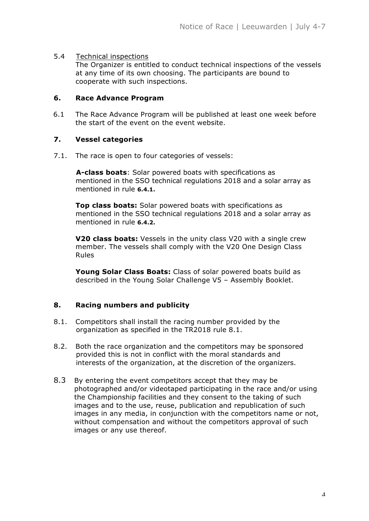#### 5.4 Technical inspections

The Organizer is entitled to conduct technical inspections of the vessels at any time of its own choosing. The participants are bound to cooperate with such inspections.

#### **6. Race Advance Program**

6.1 The Race Advance Program will be published at least one week before the start of the event on the event website.

#### **7. Vessel categories**

7.1. The race is open to four categories of vessels:

**A-class boats**: Solar powered boats with specifications as mentioned in the SSO technical regulations 2018 and a solar array as mentioned in rule **6.4.1.**

**Top class boats:** Solar powered boats with specifications as mentioned in the SSO technical regulations 2018 and a solar array as mentioned in rule **6.4.2.**

**V20 class boats:** Vessels in the unity class V20 with a single crew member. The vessels shall comply with the V20 One Design Class Rules

**Young Solar Class Boats:** Class of solar powered boats build as described in the Young Solar Challenge V5 – Assembly Booklet.

#### **8. Racing numbers and publicity**

- 8.1. Competitors shall install the racing number provided by the organization as specified in the TR2018 rule 8.1.
- 8.2. Both the race organization and the competitors may be sponsored provided this is not in conflict with the moral standards and interests of the organization, at the discretion of the organizers.
- 8.3 By entering the event competitors accept that they may be photographed and/or videotaped participating in the race and/or using the Championship facilities and they consent to the taking of such images and to the use, reuse, publication and republication of such images in any media, in conjunction with the competitors name or not, without compensation and without the competitors approval of such images or any use thereof.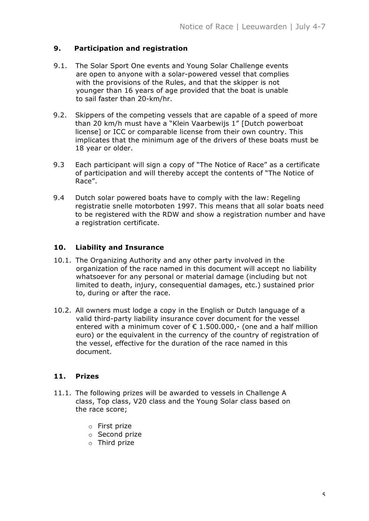# **9. Participation and registration**

- 9.1. The Solar Sport One events and Young Solar Challenge events are open to anyone with a solar-powered vessel that complies with the provisions of the Rules, and that the skipper is not younger than 16 years of age provided that the boat is unable to sail faster than 20-km/hr.
- 9.2. Skippers of the competing vessels that are capable of a speed of more than 20 km/h must have a "Klein Vaarbewijs 1" [Dutch powerboat license] or ICC or comparable license from their own country. This implicates that the minimum age of the drivers of these boats must be 18 year or older.
- 9.3 Each participant will sign a copy of "The Notice of Race" as a certificate of participation and will thereby accept the contents of "The Notice of Race".
- 9.4 Dutch solar powered boats have to comply with the law: Regeling registratie snelle motorboten 1997. This means that all solar boats need to be registered with the RDW and show a registration number and have a registration certificate.

# **10. Liability and Insurance**

- 10.1. The Organizing Authority and any other party involved in the organization of the race named in this document will accept no liability whatsoever for any personal or material damage (including but not limited to death, injury, consequential damages, etc.) sustained prior to, during or after the race.
- 10.2. All owners must lodge a copy in the English or Dutch language of a valid third-party liability insurance cover document for the vessel entered with a minimum cover of  $\epsilon$  1.500.000,- (one and a half million euro) or the equivalent in the currency of the country of registration of the vessel, effective for the duration of the race named in this document.

#### **11. Prizes**

- 11.1. The following prizes will be awarded to vessels in Challenge A class, Top class, V20 class and the Young Solar class based on the race score;
	- o First prize
	- o Second prize
	- o Third prize